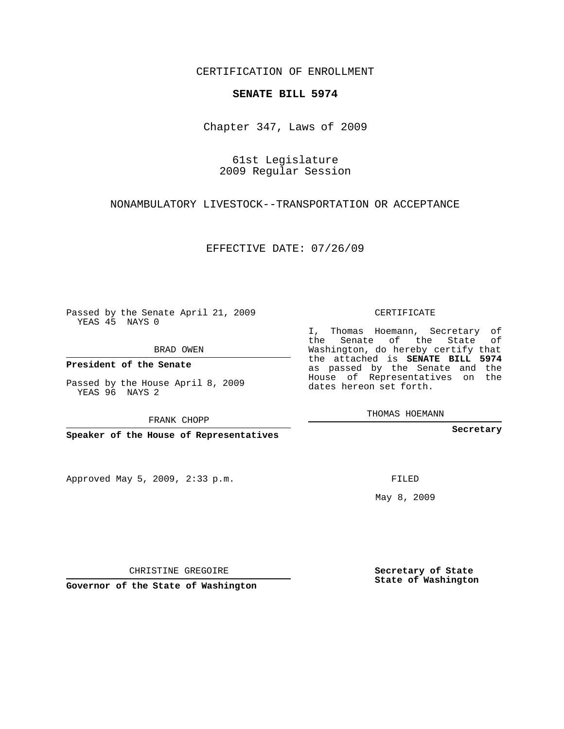CERTIFICATION OF ENROLLMENT

## **SENATE BILL 5974**

Chapter 347, Laws of 2009

61st Legislature 2009 Regular Session

NONAMBULATORY LIVESTOCK--TRANSPORTATION OR ACCEPTANCE

EFFECTIVE DATE: 07/26/09

Passed by the Senate April 21, 2009 YEAS 45 NAYS 0

BRAD OWEN

**President of the Senate**

Passed by the House April 8, 2009 YEAS 96 NAYS 2

**Speaker of the House of Representatives**

Approved May 5, 2009, 2:33 p.m.

CERTIFICATE

I, Thomas Hoemann, Secretary of the Senate of the State of Washington, do hereby certify that the attached is **SENATE BILL 5974** as passed by the Senate and the House of Representatives on the dates hereon set forth.

THOMAS HOEMANN

**Secretary**

FILED

May 8, 2009

**Secretary of State State of Washington**

CHRISTINE GREGOIRE

**Governor of the State of Washington**

FRANK CHOPP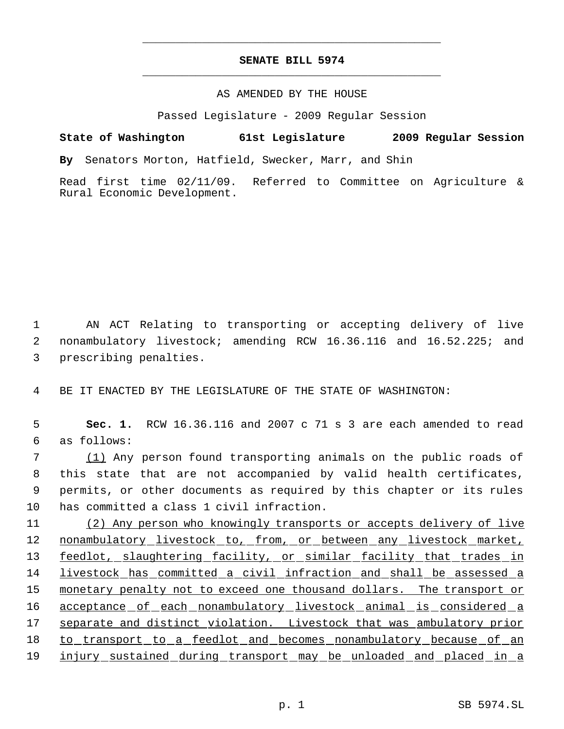## **SENATE BILL 5974** \_\_\_\_\_\_\_\_\_\_\_\_\_\_\_\_\_\_\_\_\_\_\_\_\_\_\_\_\_\_\_\_\_\_\_\_\_\_\_\_\_\_\_\_\_

\_\_\_\_\_\_\_\_\_\_\_\_\_\_\_\_\_\_\_\_\_\_\_\_\_\_\_\_\_\_\_\_\_\_\_\_\_\_\_\_\_\_\_\_\_

## AS AMENDED BY THE HOUSE

Passed Legislature - 2009 Regular Session

**State of Washington 61st Legislature 2009 Regular Session By** Senators Morton, Hatfield, Swecker, Marr, and Shin

Read first time 02/11/09. Referred to Committee on Agriculture & Rural Economic Development.

 1 AN ACT Relating to transporting or accepting delivery of live 2 nonambulatory livestock; amending RCW 16.36.116 and 16.52.225; and 3 prescribing penalties.

4 BE IT ENACTED BY THE LEGISLATURE OF THE STATE OF WASHINGTON:

 5 **Sec. 1.** RCW 16.36.116 and 2007 c 71 s 3 are each amended to read 6 as follows:

 (1) Any person found transporting animals on the public roads of this state that are not accompanied by valid health certificates, permits, or other documents as required by this chapter or its rules has committed a class 1 civil infraction.

11 (2) Any person who knowingly transports or accepts delivery of live 12 nonambulatory livestock to, from, or between any livestock market, 13 feedlot, slaughtering facility, or similar facility that trades in 14 livestock has committed a civil infraction and shall be assessed a 15 monetary penalty not to exceed one thousand dollars. The transport or 16 acceptance of each nonambulatory livestock animal is considered a 17 separate and distinct violation. Livestock that was ambulatory prior 18 to transport to a feedlot and becomes nonambulatory because of an 19 injury sustained during transport may be unloaded and placed in a